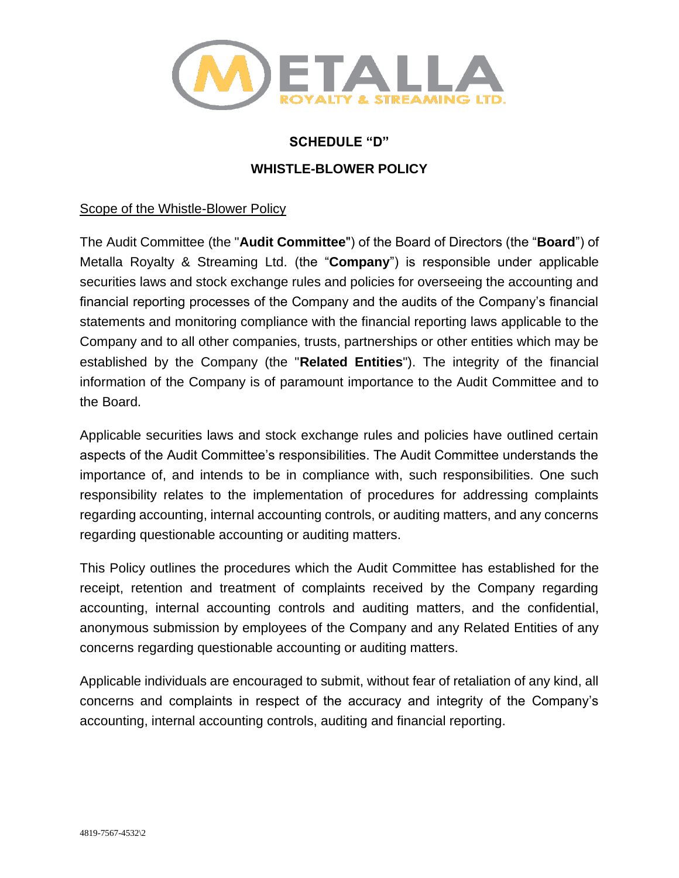

### **SCHEDULE "D"**

# **WHISTLE-BLOWER POLICY**

#### Scope of the Whistle-Blower Policy

The Audit Committee (the "**Audit Committee**") of the Board of Directors (the "**Board**") of Metalla Royalty & Streaming Ltd. (the "**Company**") is responsible under applicable securities laws and stock exchange rules and policies for overseeing the accounting and financial reporting processes of the Company and the audits of the Company's financial statements and monitoring compliance with the financial reporting laws applicable to the Company and to all other companies, trusts, partnerships or other entities which may be established by the Company (the "**Related Entities**"). The integrity of the financial information of the Company is of paramount importance to the Audit Committee and to the Board.

Applicable securities laws and stock exchange rules and policies have outlined certain aspects of the Audit Committee's responsibilities. The Audit Committee understands the importance of, and intends to be in compliance with, such responsibilities. One such responsibility relates to the implementation of procedures for addressing complaints regarding accounting, internal accounting controls, or auditing matters, and any concerns regarding questionable accounting or auditing matters.

This Policy outlines the procedures which the Audit Committee has established for the receipt, retention and treatment of complaints received by the Company regarding accounting, internal accounting controls and auditing matters, and the confidential, anonymous submission by employees of the Company and any Related Entities of any concerns regarding questionable accounting or auditing matters.

Applicable individuals are encouraged to submit, without fear of retaliation of any kind, all concerns and complaints in respect of the accuracy and integrity of the Company's accounting, internal accounting controls, auditing and financial reporting.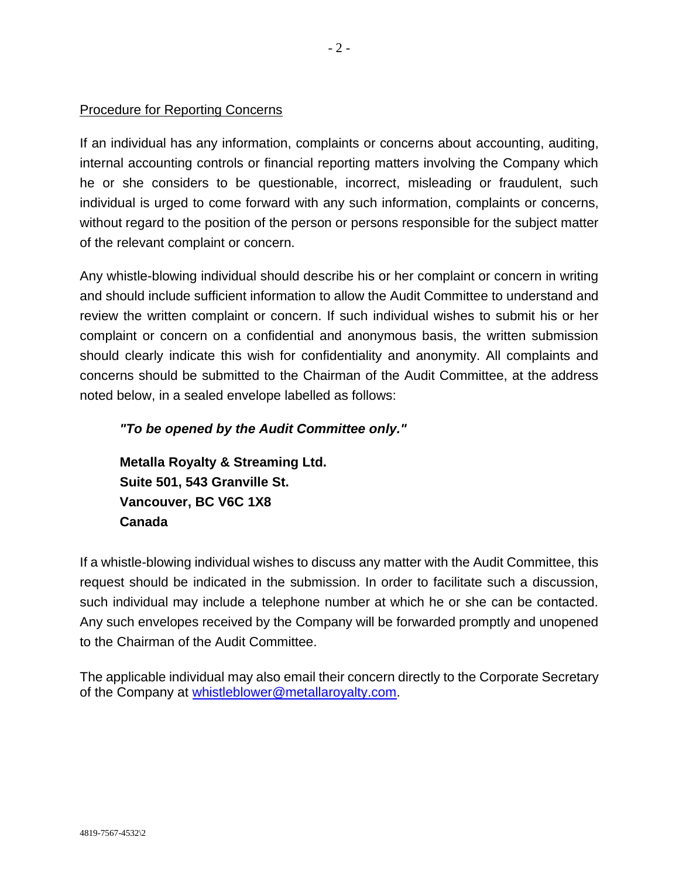# Procedure for Reporting Concerns

If an individual has any information, complaints or concerns about accounting, auditing, internal accounting controls or financial reporting matters involving the Company which he or she considers to be questionable, incorrect, misleading or fraudulent, such individual is urged to come forward with any such information, complaints or concerns, without regard to the position of the person or persons responsible for the subject matter of the relevant complaint or concern.

Any whistle-blowing individual should describe his or her complaint or concern in writing and should include sufficient information to allow the Audit Committee to understand and review the written complaint or concern. If such individual wishes to submit his or her complaint or concern on a confidential and anonymous basis, the written submission should clearly indicate this wish for confidentiality and anonymity. All complaints and concerns should be submitted to the Chairman of the Audit Committee, at the address noted below, in a sealed envelope labelled as follows:

# *"To be opened by the Audit Committee only."*

**Metalla Royalty & Streaming Ltd. Suite 501, 543 Granville St. Vancouver, BC V6C 1X8 Canada**

If a whistle-blowing individual wishes to discuss any matter with the Audit Committee, this request should be indicated in the submission. In order to facilitate such a discussion, such individual may include a telephone number at which he or she can be contacted. Any such envelopes received by the Company will be forwarded promptly and unopened to the Chairman of the Audit Committee.

The applicable individual may also email their concern directly to the Corporate Secretary of the Company at [whistleblower@metallaroyalty.com.](mailto:whistleblower@metallaroyalty.com)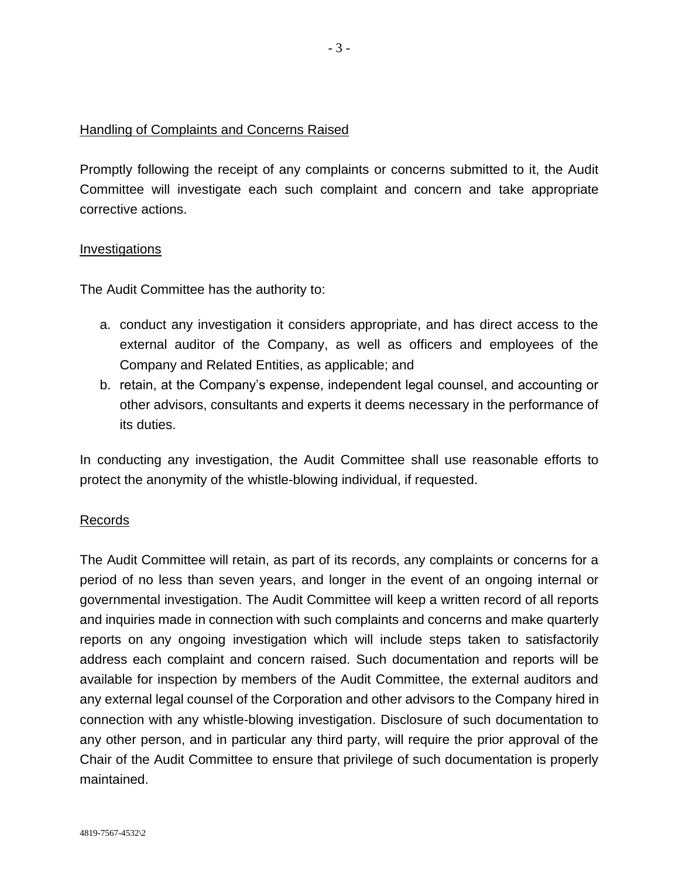# Handling of Complaints and Concerns Raised

Promptly following the receipt of any complaints or concerns submitted to it, the Audit Committee will investigate each such complaint and concern and take appropriate corrective actions.

### Investigations

The Audit Committee has the authority to:

- a. conduct any investigation it considers appropriate, and has direct access to the external auditor of the Company, as well as officers and employees of the Company and Related Entities, as applicable; and
- b. retain, at the Company's expense, independent legal counsel, and accounting or other advisors, consultants and experts it deems necessary in the performance of its duties.

In conducting any investigation, the Audit Committee shall use reasonable efforts to protect the anonymity of the whistle-blowing individual, if requested.

### Records

The Audit Committee will retain, as part of its records, any complaints or concerns for a period of no less than seven years, and longer in the event of an ongoing internal or governmental investigation. The Audit Committee will keep a written record of all reports and inquiries made in connection with such complaints and concerns and make quarterly reports on any ongoing investigation which will include steps taken to satisfactorily address each complaint and concern raised. Such documentation and reports will be available for inspection by members of the Audit Committee, the external auditors and any external legal counsel of the Corporation and other advisors to the Company hired in connection with any whistle-blowing investigation. Disclosure of such documentation to any other person, and in particular any third party, will require the prior approval of the Chair of the Audit Committee to ensure that privilege of such documentation is properly maintained.